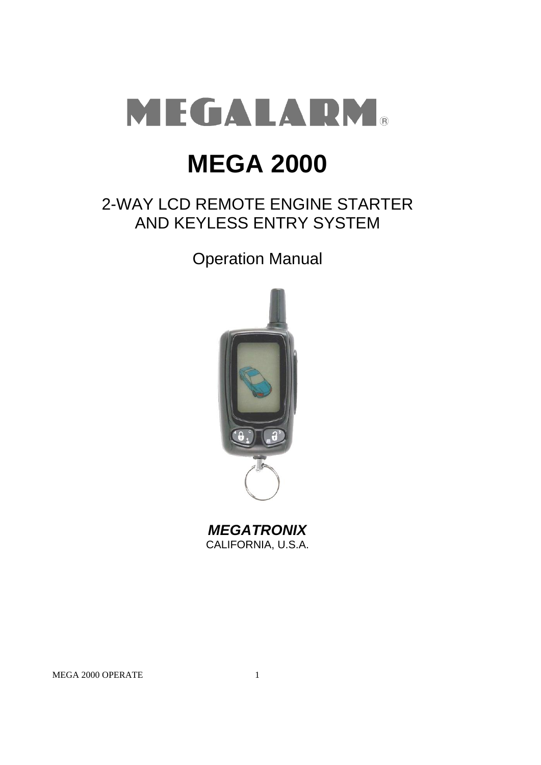

# **MEGA 2000**

## 2-WAY LCD REMOTE ENGINE STARTER AND KEYLESS ENTRY SYSTEM

Operation Manual



*MEGATRONIX* CALIFORNIA, U.S.A.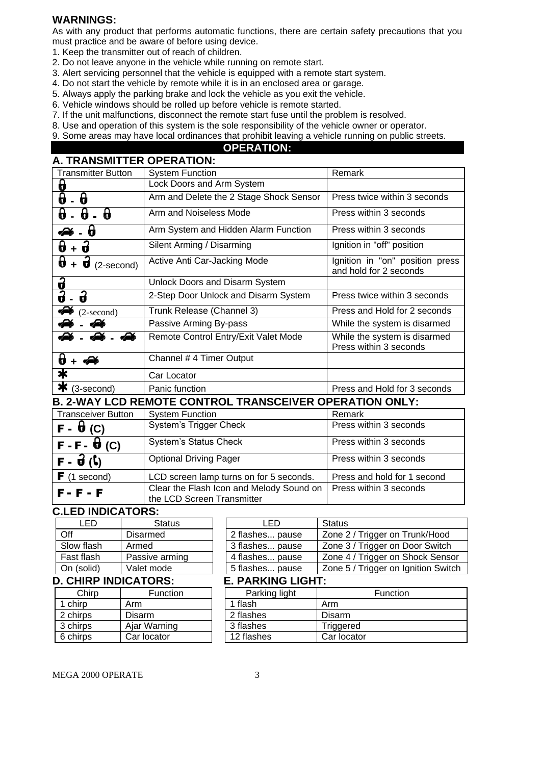## **WARNINGS:**

As with any product that performs automatic functions, there are certain safety precautions that you must practice and be aware of before using device.

- 1. Keep the transmitter out of reach of children.
- 2. Do not leave anyone in the vehicle while running on remote start.
- 3. Alert servicing personnel that the vehicle is equipped with a remote start system.
- 4. Do not start the vehicle by remote while it is in an enclosed area or garage.
- 5. Always apply the parking brake and lock the vehicle as you exit the vehicle.
- 6. Vehicle windows should be rolled up before vehicle is remote started.
- 7. If the unit malfunctions, disconnect the remote start fuse until the problem is resolved.
- 8. Use and operation of this system is the sole responsibility of the vehicle owner or operator.

9. Some areas may have local ordinances that prohibit leaving a vehicle running on public streets.

## **OPERATION:**

| A. TRANSMITTER OPERATION:                        |                                                                |                                                           |  |  |
|--------------------------------------------------|----------------------------------------------------------------|-----------------------------------------------------------|--|--|
| <b>Transmitter Button</b>                        | <b>System Function</b>                                         | Remark                                                    |  |  |
| θ                                                | Lock Doors and Arm System                                      |                                                           |  |  |
| 0<br>θ                                           | Arm and Delete the 2 Stage Shock Sensor                        | Press twice within 3 seconds                              |  |  |
| θ<br>$\pmb{\theta}$<br>0                         | Arm and Noiseless Mode                                         | Press within 3 seconds                                    |  |  |
| 0                                                | Arm System and Hidden Alarm Function                           | Press within 3 seconds                                    |  |  |
| $+ \mathbf{\hat{d}}$<br>0                        | Silent Arming / Disarming                                      | Ignition in "off" position                                |  |  |
| θ<br>$+ \mathbf{\hat{d}}$<br>$(2\text{-second})$ | Active Anti Car-Jacking Mode                                   | Ignition in "on" position press<br>and hold for 2 seconds |  |  |
|                                                  | Unlock Doors and Disarm System                                 |                                                           |  |  |
| $\frac{1}{3}$<br>2                               | 2-Step Door Unlock and Disarm System                           | Press twice within 3 seconds                              |  |  |
| $(2\text{-second})$                              | Trunk Release (Channel 3)                                      | Press and Hold for 2 seconds                              |  |  |
| Ph                                               | Passive Arming By-pass                                         | While the system is disarmed                              |  |  |
| £                                                | Remote Control Entry/Exit Valet Mode                           | While the system is disarmed<br>Press within 3 seconds    |  |  |
| 0<br>$+$ $\clubsuit$                             | Channel # 4 Timer Output                                       |                                                           |  |  |
| $\bigstar$                                       | Car Locator                                                    |                                                           |  |  |
| ∗<br>(3-second)                                  | Panic function                                                 | Press and Hold for 3 seconds                              |  |  |
|                                                  | <b>B. 2-WAY LCD REMOTE CONTROL TRANSCEIVER OPERATION ONLY:</b> |                                                           |  |  |
| <b>Transceiver Button</b>                        | <b>System Function</b>                                         | Remark                                                    |  |  |
| $\overline{F}$ - $\theta$ (C)                    | System's Trigger Check                                         | Press within 3 seconds                                    |  |  |
| $F - F - \Theta$ (C)                             | System's Status Check                                          | Press within 3 seconds                                    |  |  |
| $F - \vec{U}$ $(\zeta)$                          | <b>Optional Driving Pager</b>                                  | Press within 3 seconds                                    |  |  |
| $F(1$ second)                                    | LCD screen lamp turns on for 5 seconds.                        | Press and hold for 1 second                               |  |  |
| E _ E _ E                                        | Clear the Flash Icon and Melody Sound on                       | Press within 3 seconds                                    |  |  |

#### F - F - F the LCD Screen Transmitter

## **C.LED INDICATORS:**

| ьn                      | <b>Status</b>   |  | ' FL                     | Status |
|-------------------------|-----------------|--|--------------------------|--------|
| Off                     | <b>Disarmed</b> |  | 2 flashes pause          | Zone 2 |
| Slow flash              | Armed           |  | 3 flashes pause          | Zone:  |
| Fast flash              | Passive arming  |  | 4 flashes pause          | Zone ∤ |
| On (solid)              | Valet mode      |  | 5 flashes pause          | Zone ! |
| <b>CURD INDICATORE.</b> |                 |  | <b>DADIZINIA LIALIT.</b> |        |

| <b>D. CHIRP INDICATORS:</b> |              | <b>E. PARKING LIGHT:</b> |            |
|-----------------------------|--------------|--------------------------|------------|
| Chirp                       | Function     | Parking light            |            |
| chirp                       | Arm          | 1 flash                  | Arm        |
| 2 chirps                    | Disarm       | 2 flashes                | Disarm     |
| 3 chirps                    | Ajar Warning | 3 flashes                | Triggered  |
| 6 chirps                    | Car locator  | 12 flashes               | Car locato |

| LED               | <b>Status</b>  | I FD.              | Status                              |
|-------------------|----------------|--------------------|-------------------------------------|
| Off               | Disarmed       | 2 flashes pause    | Zone 2 / Trigger on Trunk/Hood      |
| Slow flash        | Armed          | 3 flashes pause    | Zone 3 / Trigger on Door Switch     |
| Fast flash        | Passive arming | 4 flashes pause    | Zone 4 / Trigger on Shock Sensor    |
| On (solid)        | Valet mode     | 5 flashes pause    | Zone 5 / Trigger on Ignition Switch |
| CUIDD INDICATODS. |                | F BABIZINA LIALIT. |                                     |

| Chirp    | <b>Function</b> | Parking light | <b>Function</b> |  |
|----------|-----------------|---------------|-----------------|--|
| 1 chirp  | Arm             | flash         | Arm             |  |
| 2 chirps | <b>Disarm</b>   | 2 flashes     | <b>Disarm</b>   |  |
| 3 chirps | Ajar Warning    | 3 flashes     | Triggered       |  |
| 6 chirps | Car locator     | 12 flashes    | Car locator     |  |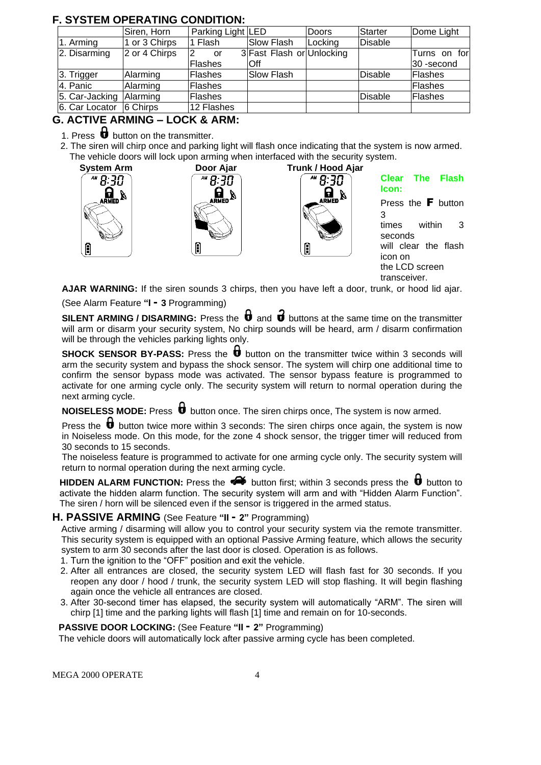## **F. SYSTEM OPERATING CONDITION:**

|                | Siren, Horn   | Parking Light LED |                           | Doors   | <b>Starter</b> | Dome Light    |
|----------------|---------------|-------------------|---------------------------|---------|----------------|---------------|
| 1. Arming      | 1 or 3 Chirps | 1 Flash           | Slow Flash                | Locking | Disable        |               |
| 2. Disarming   | 2 or 4 Chirps | or                | 3 Fast Flash or Unlocking |         |                | Turns on forl |
|                |               | Flashes           | lOff                      |         |                | 30-second     |
| 3. Trigger     | Alarming      | Flashes           | Slow Flash                |         | Disable        | Flashes       |
| 4. Panic       | Alarming      | Flashes           |                           |         |                | Flashes       |
| 5. Car-Jacking | Alarming      | Flashes           |                           |         | <b>Disable</b> | Flashes       |
| 6. Car Locator | 6 Chirps      | 12 Flashes        |                           |         |                |               |

## **G. ACTIVE ARMING – LOCK & ARM:**

- 1. Press  $\boldsymbol{\theta}$  button on the transmitter.
- 2. The siren will chirp once and parking light will flash once indicating that the system is now armed. The vehicle doors will lock upon arming when interfaced with the security system.



**AJAR WARNING:** If the siren sounds 3 chirps, then you have left a door, trunk, or hood lid ajar. (See Alarm Feature **"I - 3** Programming)

transceiver.

**SILENT ARMING / DISARMING:** Press the  $\mathbf{\vec{v}}$  and  $\mathbf{\vec{v}}$  buttons at the same time on the transmitter will arm or disarm your security system, No chirp sounds will be heard, arm / disarm confirmation will be through the vehicles parking lights only.

**SHOCK SENSOR BY-PASS:** Press the **b** button on the transmitter twice within 3 seconds will arm the security system and bypass the shock sensor. The system will chirp one additional time to confirm the sensor bypass mode was activated. The sensor bypass feature is programmed to activate for one arming cycle only. The security system will return to normal operation during the next arming cycle.

**NOISELESS MODE:** Press  $\mathbf{\mathbf{\mathbf{\Phi}}}$  button once. The siren chirps once, The system is now armed.

Press the  $\biguplus$  button twice more within 3 seconds: The siren chirps once again, the system is now in Noiseless mode. On this mode, for the zone 4 shock sensor, the trigger timer will reduced from 30 seconds to 15 seconds.

The noiseless feature is programmed to activate for one arming cycle only. The security system will return to normal operation during the next arming cycle.

**HIDDEN ALARM FUNCTION:** Press the  $\blacklozenge$  button first; within 3 seconds press the  $\blacklozenge$  button to activate the hidden alarm function. The security system will arm and with "Hidden Alarm Function". The siren / horn will be silenced even if the sensor is triggered in the armed status.

## **H. PASSIVE ARMING** (See Feature **"II - 2"** Programming)

Active arming / disarming will allow you to control your security system via the remote transmitter. This security system is equipped with an optional Passive Arming feature, which allows the security system to arm 30 seconds after the last door is closed. Operation is as follows.

- 1. Turn the ignition to the "OFF" position and exit the vehicle.
- 2. After all entrances are closed, the security system LED will flash fast for 30 seconds. If you reopen any door / hood / trunk, the security system LED will stop flashing. It will begin flashing again once the vehicle all entrances are closed.
- 3. After 30-second timer has elapsed, the security system will automatically "ARM". The siren will chirp [1] time and the parking lights will flash [1] time and remain on for 10-seconds.

## **PASSIVE DOOR LOCKING:** (See Feature **"II - 2"** Programming)

The vehicle doors will automatically lock after passive arming cycle has been completed.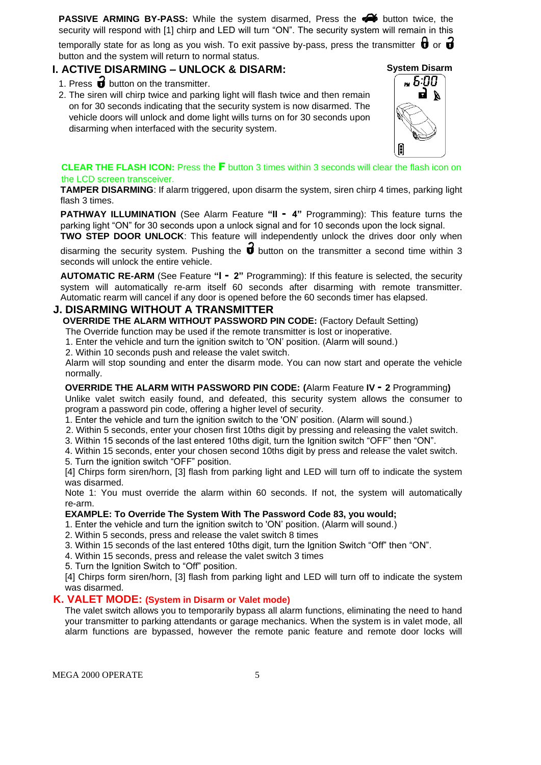**PASSIVE ARMING BY-PASS:** While the system disarmed, Press the **P** button twice, the security will respond with [1] chirp and LED will turn "ON". The security system will remain in this

temporally state for as long as you wish. To exit passive by-pass, press the transmitter  $\boldsymbol{\theta}$  or  $\boldsymbol{\vec{d}}$ button and the system will return to normal status.

## **I. ACTIVE DISARMING – UNLOCK & DISARM:**

- 1. Press  $\overrightarrow{d}$  button on the transmitter.
- 2. The siren will chirp twice and parking light will flash twice and then remain on for 30 seconds indicating that the security system is now disarmed. The vehicle doors will unlock and dome light wills turns on for 30 seconds upon disarming when interfaced with the security system.



#### **CLEAR THE FLASH ICON:** Press the F button 3 times within 3 seconds will clear the flash icon on the LCD screen transceiver.

**TAMPER DISARMING**: If alarm triggered, upon disarm the system, siren chirp 4 times, parking light flash 3 times.

**PATHWAY ILLUMINATION** (See Alarm Feature **"II - 4"** Programming): This feature turns the parking light "ON" for 30 seconds upon a unlock signal and for 10 seconds upon the lock signal.

**TWO STEP DOOR UNLOCK**: This feature will independently unlock the drives door only when disarming the security system. Pushing the  $\overrightarrow{\mathbf{u}}$  button on the transmitter a second time within 3 seconds will unlock the entire vehicle.

**AUTOMATIC RE-ARM** (See Feature **"I - 2"** Programming): If this feature is selected, the security system will automatically re-arm itself 60 seconds after disarming with remote transmitter. Automatic rearm will cancel if any door is opened before the 60 seconds timer has elapsed.

## **J. DISARMING WITHOUT A TRANSMITTER**

**OVERRIDE THE ALARM WITHOUT PASSWORD PIN CODE:** (Factory Default Setting)

The Override function may be used if the remote transmitter is lost or inoperative.

1. Enter the vehicle and turn the ignition switch to 'ON' position. (Alarm will sound.)

2. Within 10 seconds push and release the valet switch.

Alarm will stop sounding and enter the disarm mode. You can now start and operate the vehicle normally.

#### **OVERRIDE THE ALARM WITH PASSWORD PIN CODE: (**Alarm Feature **IV - 2** Programming**)**

Unlike valet switch easily found, and defeated, this security system allows the consumer to program a password pin code, offering a higher level of security.

1. Enter the vehicle and turn the ignition switch to the 'ON' position. (Alarm will sound.)

2. Within 5 seconds, enter your chosen first 10ths digit by pressing and releasing the valet switch.

3. Within 15 seconds of the last entered 10ths digit, turn the Ignition switch "OFF" then "ON".

4. Within 15 seconds, enter your chosen second 10ths digit by press and release the valet switch.

5. Turn the ignition switch "OFF" position.

[4] Chirps form siren/horn, [3] flash from parking light and LED will turn off to indicate the system was disarmed.

Note 1: You must override the alarm within 60 seconds. If not, the system will automatically re-arm.

#### **EXAMPLE: To Override The System With The Password Code 83, you would;**

1. Enter the vehicle and turn the ignition switch to 'ON' position. (Alarm will sound.)

2. Within 5 seconds, press and release the valet switch 8 times

3. Within 15 seconds of the last entered 10ths digit, turn the Ignition Switch "Off" then "ON".

4. Within 15 seconds, press and release the valet switch 3 times

5. Turn the Ignition Switch to "Off" position.

[4] Chirps form siren/horn, [3] flash from parking light and LED will turn off to indicate the system was disarmed.

## **K. VALET MODE: (System in Disarm or Valet mode)**

The valet switch allows you to temporarily bypass all alarm functions, eliminating the need to hand your transmitter to parking attendants or garage mechanics. When the system is in valet mode, all alarm functions are bypassed, however the remote panic feature and remote door locks will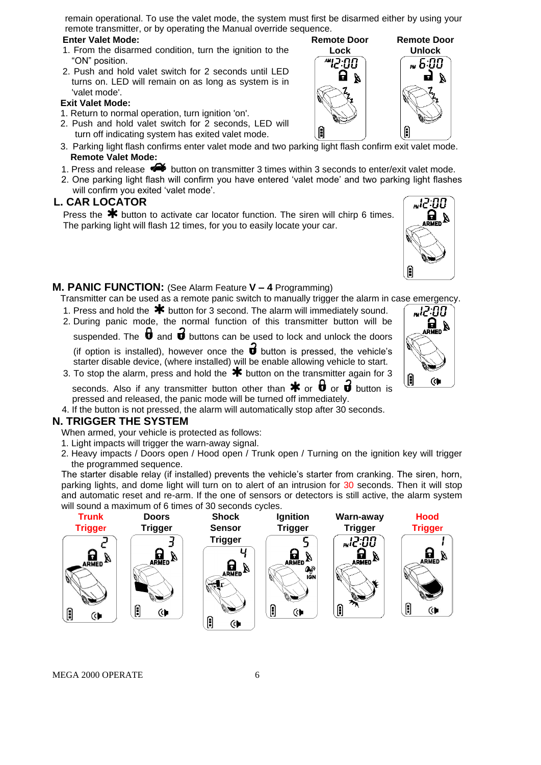remain operational. To use the valet mode, the system must first be disarmed either by using your remote transmitter, or by operating the Manual override sequence.

> **Remote Door Lock**

> > חח קויי

Ĥ

Ω  $\boldsymbol{\lambda}$ 

#### **Enter Valet Mode:**

- 1. From the disarmed condition, turn the ignition to the "ON" position.
- 2. Push and hold valet switch for 2 seconds until LED turns on. LED will remain on as long as system is in 'valet mode'.

#### **Exit Valet Mode:**

- 1. Return to normal operation, turn ignition 'on'.
- 2. Push and hold valet switch for 2 seconds, LED will turn off indicating system has exited valet mode.
- 3. Parking light flash confirms enter valet mode and two parking light flash confirm exit valet mode. **Remote Valet Mode:**
- 1. Press and release  $\blacktriangle\blacktriangle$  button on transmitter 3 times within 3 seconds to enter/exit valet mode.
- 2. One parking light flash will confirm you have entered 'valet mode' and two parking light flashes will confirm you exited 'valet mode'.

## **L. CAR LOCATOR**

Press the  $*$  button to activate car locator function. The siren will chirp 6 times. The parking light will flash 12 times, for you to easily locate your car.

## **M. PANIC FUNCTION:** (See Alarm Feature **V – 4** Programming)

- Transmitter can be used as a remote panic switch to manually trigger the alarm in case emergency.
- 1. Press and hold the  $*$  button for 3 second. The alarm will immediately sound.
- 2. During panic mode, the normal function of this transmitter button will be suspended. The  $\theta$  and  $\theta$  buttons can be used to lock and unlock the doors

(if option is installed), however once the  $\overrightarrow{\mathbf{u}}$  button is pressed, the vehicle's starter disable device, (where installed) will be enable allowing vehicle to start.

3. To stop the alarm, press and hold the  $\mathbf{\divideontimes}$  button on the transmitter again for 3

seconds. Also if any transmitter button other than  $\ast$  or  $\theta$  or  $\theta$  button is pressed and released, the panic mode will be turned off immediately.

4. If the button is not pressed, the alarm will automatically stop after 30 seconds.

## **N. TRIGGER THE SYSTEM**

When armed, your vehicle is protected as follows:

- 1. Light impacts will trigger the warn-away signal.
- 2. Heavy impacts / Doors open / Hood open / Trunk open / Turning on the ignition key will trigger the programmed sequence.

The starter disable relay (if installed) prevents the vehicle's starter from cranking. The siren, horn, parking lights, and dome light will turn on to alert of an intrusion for 30 seconds. Then it will stop and automatic reset and re-arm. If the one of sensors or detectors is still active, the alarm system will sound a maximum of 6 times of 30 seconds cycles.



MEGA 2000 OPERATE 6

f "12:00  $\mathbf{g}_{\text{\tiny{MED}}}$ ង

(♦

Ĥ



w12:00

**Remote Door Unlock**

.. គៈពព

F

 $\boldsymbol{\beta}$ d.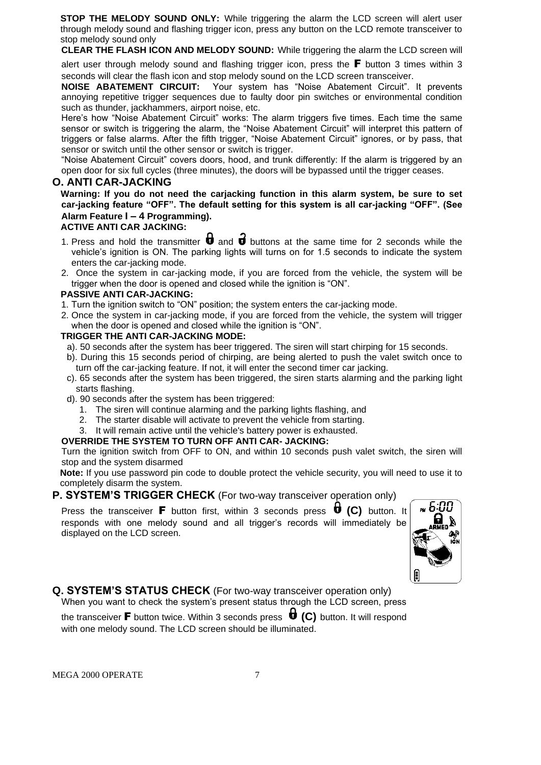**STOP THE MELODY SOUND ONLY:** While triggering the alarm the LCD screen will alert user through melody sound and flashing trigger icon, press any button on the LCD remote transceiver to stop melody sound only

**CLEAR THE FLASH ICON AND MELODY SOUND:** While triggering the alarm the LCD screen will

alert user through melody sound and flashing trigger icon, press the  $\blacksquare$  button 3 times within 3 seconds will clear the flash icon and stop melody sound on the LCD screen transceiver.

**NOISE ABATEMENT CIRCUIT:** Your system has "Noise Abatement Circuit". It prevents annoying repetitive trigger sequences due to faulty door pin switches or environmental condition such as thunder, jackhammers, airport noise, etc.

Here's how "Noise Abatement Circuit" works: The alarm triggers five times. Each time the same sensor or switch is triggering the alarm, the "Noise Abatement Circuit" will interpret this pattern of triggers or false alarms. After the fifth trigger, "Noise Abatement Circuit" ignores, or by pass, that sensor or switch until the other sensor or switch is trigger.

"Noise Abatement Circuit" covers doors, hood, and trunk differently: If the alarm is triggered by an open door for six full cycles (three minutes), the doors will be bypassed until the trigger ceases.

## **O. ANTI CAR-JACKING**

**Warning: If you do not need the carjacking function in this alarm system, be sure to set car-jacking feature "OFF". The default setting for this system is all car-jacking "OFF". (See Alarm Feature I – 4 Programming).**

#### **ACTIVE ANTI CAR JACKING:**

- 1. Press and hold the transmitter  $\mathbf \vec u$  and  $\mathbf \vec v$  buttons at the same time for 2 seconds while the vehicle's ignition is ON. The parking lights will turns on for 1.5 seconds to indicate the system enters the car-jacking mode.
- 2. Once the system in car-jacking mode, if you are forced from the vehicle, the system will be trigger when the door is opened and closed while the ignition is "ON".

#### **PASSIVE ANTI CAR-JACKING:**

- 1. Turn the ignition switch to "ON" position; the system enters the car-jacking mode.
- 2. Once the system in car-jacking mode, if you are forced from the vehicle, the system will trigger when the door is opened and closed while the ignition is "ON".

#### **TRIGGER THE ANTI CAR-JACKING MODE:**

- a). 50 seconds after the system has beer triggered. The siren will start chirping for 15 seconds.
- b). During this 15 seconds period of chirping, are being alerted to push the valet switch once to turn off the car-jacking feature. If not, it will enter the second timer car jacking.
- c). 65 seconds after the system has been triggered, the siren starts alarming and the parking light starts flashing.
- d). 90 seconds after the system has been triggered:
	- 1. The siren will continue alarming and the parking lights flashing, and
	- 2. The starter disable will activate to prevent the vehicle from starting.
	- 3. It will remain active until the vehicle's battery power is exhausted.

#### **OVERRIDE THE SYSTEM TO TURN OFF ANTI CAR- JACKING:**

Turn the ignition switch from OFF to ON, and within 10 seconds push valet switch, the siren will stop and the system disarmed

**Note:** If you use password pin code to double protect the vehicle security, you will need to use it to completely disarm the system.

## **P. SYSTEM'S TRIGGER CHECK** (For two-way transceiver operation only)

Press the transceiver **F** button first, within 3 seconds press **U** (C) button. It responds with one melody sound and all trigger's records will immediately be displayed on the LCD screen.



**Q. SYSTEM'S STATUS CHECK** (For two-way transceiver operation only) When you want to check the system's present status through the LCD screen, press the transceiver F button twice. Within 3 seconds press **(C)** button. It will respond with one melody sound. The LCD screen should be illuminated.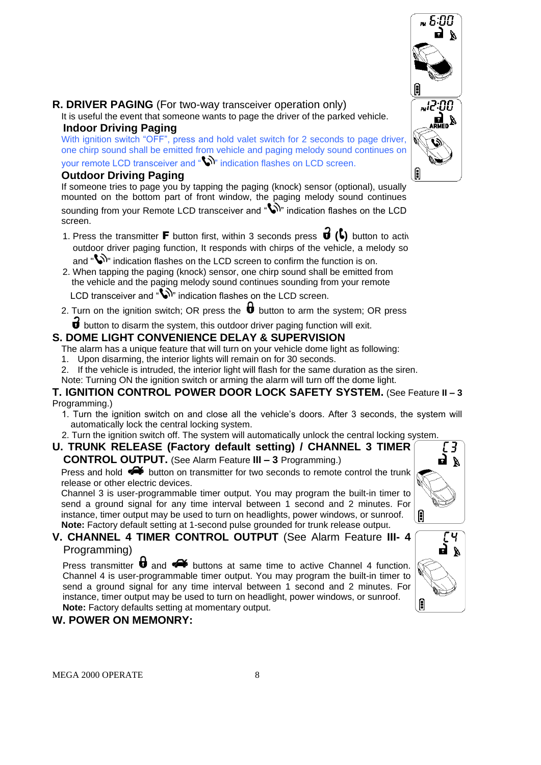

## **R. DRIVER PAGING** (For two-way transceiver operation only)

It is useful the event that someone wants to page the driver of the parked vehicle.  **Indoor Driving Paging**

With ignition switch "OFF", press and hold valet switch for 2 seconds to page driver, one chirp sound shall be emitted from vehicle and paging melody sound continues on your remote LCD transceiver and " indication flashes on LCD screen.

## **Outdoor Driving Paging**

If someone tries to page you by tapping the paging (knock) sensor (optional), usually mounted on the bottom part of front window, the paging melody sound continues sounding from your Remote LCD transceiver and " indication flashes on the LCD screen.

- 1. Press the transmitter **F** button first, within 3 seconds press  $\mathbf{0}$  ( $\mathbf{0}$ ) button to activ outdoor driver paging function, It responds with chirps of the vehicle, a melody so and  $\sum$  indication flashes on the LCD screen to confirm the function is on.
- 2. When tapping the paging (knock) sensor, one chirp sound shall be emitted from the vehicle and the paging melody sound continues sounding from your remote LCD transceiver and "  $\mathbb{W}$ " indication flashes on the LCD screen.
- 2. Turn on the ignition switch; OR press the  $\bigoplus$  button to arm the system; OR press
	- $\overrightarrow{\bm{U}}$  button to disarm the system, this outdoor driver paging function will exit.

## **S. DOME LIGHT CONVENIENCE DELAY & SUPERVISION**

- The alarm has a unique feature that will turn on your vehicle dome light as following:
- 1. Upon disarming, the interior lights will remain on for 30 seconds.
- 2. If the vehicle is intruded, the interior light will flash for the same duration as the siren.
- Note: Turning ON the ignition switch or arming the alarm will turn off the dome light.

#### **T. IGNITION CONTROL POWER DOOR LOCK SAFETY SYSTEM.** (See Feature **II – 3** Programming.)

- 1. Turn the ignition switch on and close all the vehicle's doors. After 3 seconds, the system will automatically lock the central locking system.
- 2. Turn the ignition switch off. The system will automatically unlock the central locking system.
- **U. TRUNK RELEASE (Factory default setting) / CHANNEL 3 TIMER CONTROL OUTPUT.** (See Alarm Feature **III – 3** Programming.)

Press and hold  $\blacktriangleright$  button on transmitter for two seconds to remote control the trunk release or other electric devices.

Channel 3 is user-programmable timer output. You may program the built-in timer to send a ground signal for any time interval between 1 second and 2 minutes. For instance, timer output may be used to turn on headlights, power windows, or sunroof. **Note:** Factory default setting at 1-second pulse grounded for trunk release output.

## **V. CHANNEL 4 TIMER CONTROL OUTPUT** (See Alarm Feature **III- 4** Programming)

Press transmitter  $\biguplus$  and  $\blacktriangleleft$  buttons at same time to active Channel 4 function. Channel 4 is user-programmable timer output. You may program the built-in timer to send a ground signal for any time interval between 1 second and 2 minutes. For instance, timer output may be used to turn on headlight, power windows, or sunroof. **Note:** Factory defaults setting at momentary output.

## **W. POWER ON MEMONRY:**



Θ

ਂਪ੍ਰ ПÅ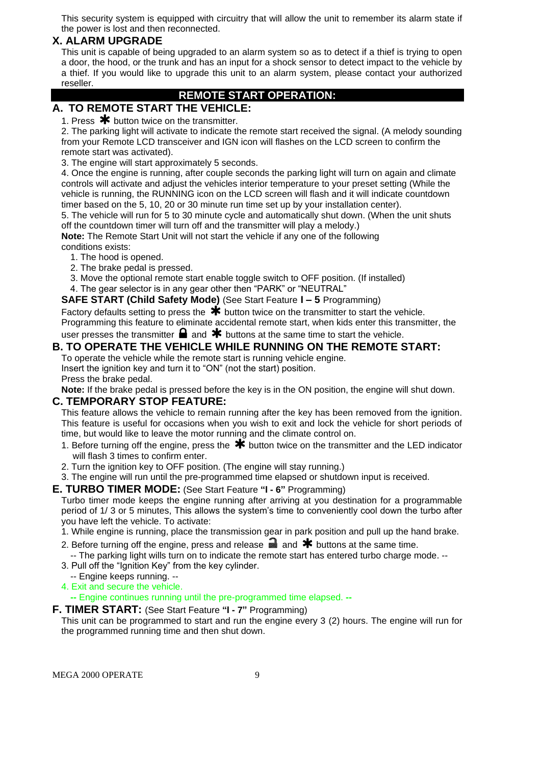This security system is equipped with circuitry that will allow the unit to remember its alarm state if the power is lost and then reconnected.

## **X. ALARM UPGRADE**

This unit is capable of being upgraded to an alarm system so as to detect if a thief is trying to open a door, the hood, or the trunk and has an input for a shock sensor to detect impact to the vehicle by a thief. If you would like to upgrade this unit to an alarm system, please contact your authorized reseller.

## **REMOTE START OPERATION:**

## **A. TO REMOTE START THE VEHICLE:**

1. Press  $*$  button twice on the transmitter.

2. The parking light will activate to indicate the remote start received the signal. (A melody sounding from your Remote LCD transceiver and IGN icon will flashes on the LCD screen to confirm the remote start was activated).

3. The engine will start approximately 5 seconds.

4. Once the engine is running, after couple seconds the parking light will turn on again and climate controls will activate and adjust the vehicles interior temperature to your preset setting (While the vehicle is running, the RUNNING icon on the LCD screen will flash and it will indicate countdown timer based on the 5, 10, 20 or 30 minute run time set up by your installation center).

5. The vehicle will run for 5 to 30 minute cycle and automatically shut down. (When the unit shuts off the countdown timer will turn off and the transmitter will play a melody.)

**Note:** The Remote Start Unit will not start the vehicle if any one of the following conditions exists:

- 1. The hood is opened.
- 2. The brake pedal is pressed.
- 3. Move the optional remote start enable toggle switch to OFF position. (If installed)
- 4. The gear selector is in any gear other then "PARK" or "NEUTRAL"

#### **SAFE START (Child Safety Mode)** (See Start Feature **I – 5** Programming)

Factory defaults setting to press the  $\bigstar$  button twice on the transmitter to start the vehicle. Programming this feature to eliminate accidental remote start, when kids enter this transmitter, the user presses the transmitter  $\blacksquare$  and  $\clubsuit$  buttons at the same time to start the vehicle.

## **B. TO OPERATE THE VEHICLE WHILE RUNNING ON THE REMOTE START:**

To operate the vehicle while the remote start is running vehicle engine. Insert the ignition key and turn it to "ON" (not the start) position. Press the brake pedal.

**Note:** If the brake pedal is pressed before the key is in the ON position, the engine will shut down.

## **C. TEMPORARY STOP FEATURE:**

This feature allows the vehicle to remain running after the key has been removed from the ignition. This feature is useful for occasions when you wish to exit and lock the vehicle for short periods of time, but would like to leave the motor running and the climate control on.

- 1. Before turning off the engine, press the  $*$  button twice on the transmitter and the LED indicator will flash 3 times to confirm enter.
- 2. Turn the ignition key to OFF position. (The engine will stay running.)
- 3. The engine will run until the pre-programmed time elapsed or shutdown input is received.
- **E. TURBO TIMER MODE:** (See Start Feature **"I - 6"** Programming)

Turbo timer mode keeps the engine running after arriving at you destination for a programmable period of 1/ 3 or 5 minutes, This allows the system's time to conveniently cool down the turbo after you have left the vehicle. To activate:

- 1. While engine is running, place the transmission gear in park position and pull up the hand brake.
- 2. Before turning off the engine, press and release  $\blacksquare$  and  $\blacktriangleright$  buttons at the same time. -- The parking light wills turn on to indicate the remote start has entered turbo charge mode. --
- 3. Pull off the "Ignition Key" from the key cylinder.
- -- Engine keeps running. --
- 4. Exit and secure the vehicle.

**--** Engine continues running until the pre-programmed time elapsed. **--**

#### **F. TIMER START:** (See Start Feature **"I - 7"** Programming)

This unit can be programmed to start and run the engine every 3 (2) hours. The engine will run for the programmed running time and then shut down.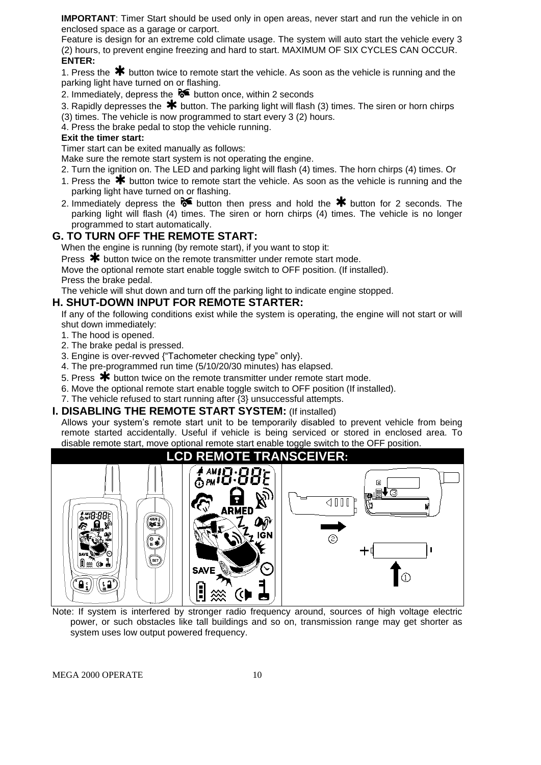**IMPORTANT**: Timer Start should be used only in open areas, never start and run the vehicle in on enclosed space as a garage or carport.

Feature is design for an extreme cold climate usage. The system will auto start the vehicle every 3 (2) hours, to prevent engine freezing and hard to start. MAXIMUM OF SIX CYCLES CAN OCCUR. **ENTER:**

1. Press the  $*$  button twice to remote start the vehicle. As soon as the vehicle is running and the parking light have turned on or flashing.

2. Immediately, depress the  $\delta$  button once, within 2 seconds

3. Rapidly depresses the  $*$  button. The parking light will flash (3) times. The siren or horn chirps (3) times. The vehicle is now programmed to start every 3 (2) hours.

4. Press the brake pedal to stop the vehicle running.

#### **Exit the timer start:**

Timer start can be exited manually as follows:

Make sure the remote start system is not operating the engine.

- 2. Turn the ignition on. The LED and parking light will flash (4) times. The horn chirps (4) times. Or
- 1. Press the  $*$  button twice to remote start the vehicle. As soon as the vehicle is running and the parking light have turned on or flashing.
- 2. Immediately depress the  $\delta$  button then press and hold the  $*$  button for 2 seconds. The parking light will flash (4) times. The siren or horn chirps (4) times. The vehicle is no longer programmed to start automatically.

## **G. TO TURN OFF THE REMOTE START:**

When the engine is running (by remote start), if you want to stop it:

Press  $\bigstar$  button twice on the remote transmitter under remote start mode.

Move the optional remote start enable toggle switch to OFF position. (If installed). Press the brake pedal.

The vehicle will shut down and turn off the parking light to indicate engine stopped.

## **H. SHUT-DOWN INPUT FOR REMOTE STARTER:**

If any of the following conditions exist while the system is operating, the engine will not start or will shut down immediately:

- 1. The hood is opened.
- 2. The brake pedal is pressed.
- 3. Engine is over-revved {"Tachometer checking type" only}.
- 4. The pre-programmed run time (5/10/20/30 minutes) has elapsed.
- 5. Press  $\bigstar$  button twice on the remote transmitter under remote start mode.
- 6. Move the optional remote start enable toggle switch to OFF position (If installed).
- 7. The vehicle refused to start running after {3} unsuccessful attempts.

#### **I. DISABLING THE REMOTE START SYSTEM:** (If installed)

Allows your system's remote start unit to be temporarily disabled to prevent vehicle from being remote started accidentally. Useful if vehicle is being serviced or stored in enclosed area. To disable remote start, move optional remote start enable toggle switch to the OFF position.



Note: If system is interfered by stronger radio frequency around, sources of high voltage electric power, or such obstacles like tall buildings and so on, transmission range may get shorter as system uses low output powered frequency.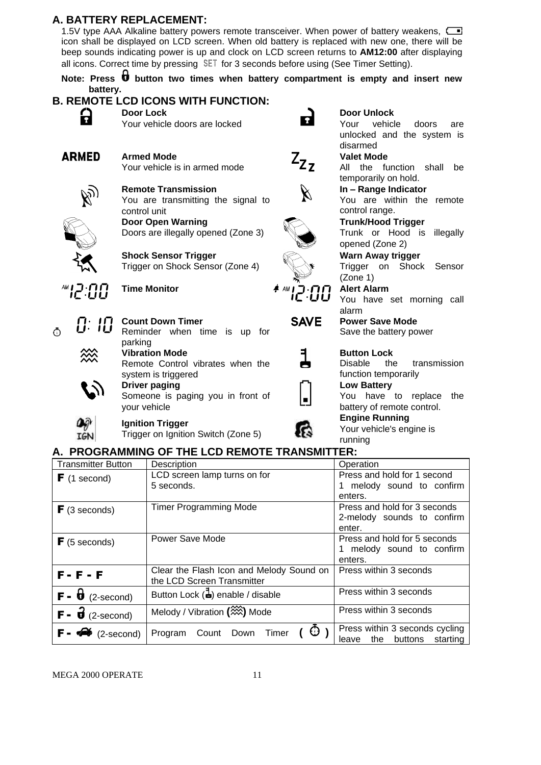## **A. BATTERY REPLACEMENT:**

1.5V type AAA Alkaline battery powers remote transceiver. When power of battery weakens, icon shall be displayed on LCD screen. When old battery is replaced with new one, there will be beep sounds indicating power is up and clock on LCD screen returns to **AM12:00** after displaying all icons. Correct time by pressing  $SET$  for 3 seconds before using (See Timer Setting).

Note: Press **b** button two times when battery compartment is empty and insert new **battery. B. REMOTE LCD ICONS WITH FUNCTION:**

|                      | B. REMOTE LCD ICONS WITH FUNCTION:            |                                                      |                                       |
|----------------------|-----------------------------------------------|------------------------------------------------------|---------------------------------------|
| 2                    | <b>Door Lock</b>                              |                                                      | <b>Door Unlock</b>                    |
|                      | Your vehicle doors are locked                 | $\overline{\mathbf{r}}$                              | vehicle<br>Your<br>doors<br>are       |
|                      |                                               |                                                      | unlocked and the system is            |
|                      |                                               |                                                      | disarmed                              |
| <b>ARMED</b>         | <b>Armed Mode</b>                             |                                                      | <b>Valet Mode</b>                     |
|                      | Your vehicle is in armed mode                 | $Z_{Z_{Z}}$                                          | All the function shall<br>be          |
|                      |                                               |                                                      | temporarily on hold.                  |
|                      | <b>Remote Transmission</b>                    |                                                      | In - Range Indicator                  |
|                      | You are transmitting the signal to            | $\cancel{\mathbb{X}}$                                | You are within the remote             |
|                      |                                               |                                                      | control range.                        |
|                      | control unit                                  |                                                      |                                       |
|                      | Door Open Warning                             |                                                      | <b>Trunk/Hood Trigger</b>             |
|                      | Doors are illegally opened (Zone 3)           |                                                      | Trunk or Hood is<br>illegally         |
|                      |                                               |                                                      | opened (Zone 2)                       |
|                      | <b>Shock Sensor Trigger</b>                   |                                                      | Warn Away trigger                     |
|                      | Trigger on Shock Sensor (Zone 4)              |                                                      | Trigger on Shock<br>Sensor            |
|                      |                                               |                                                      | (Zone 1)                              |
| <b><i>MI2:00</i></b> | <b>Time Monitor</b>                           | $\overline{f}$ and $\overline{f}$ and $\overline{f}$ | <b>Alert Alarm</b>                    |
|                      |                                               |                                                      | You have set morning call             |
|                      |                                               |                                                      | alarm                                 |
| 0: IO                | <b>Count Down Timer</b>                       | <b>SAVE</b>                                          | <b>Power Save Mode</b>                |
| Ō                    | Reminder when time is up for                  |                                                      | Save the battery power                |
|                      | parking                                       |                                                      |                                       |
|                      | <b>Vibration Mode</b>                         |                                                      | <b>Button Lock</b>                    |
|                      | Remote Control vibrates when the              |                                                      | the<br><b>Disable</b><br>transmission |
|                      | system is triggered                           |                                                      | function temporarily                  |
|                      | <b>Driver paging</b>                          |                                                      | <b>Low Battery</b>                    |
|                      | Someone is paging you in front of             | $\blacksquare$                                       | You have to replace<br>the            |
|                      | your vehicle                                  |                                                      | battery of remote control.            |
|                      |                                               |                                                      | <b>Engine Running</b>                 |
|                      | <b>Ignition Trigger</b>                       |                                                      | Your vehicle's engine is              |
| IGN                  | Trigger on Ignition Switch (Zone 5)           |                                                      | running                               |
|                      | A. PROGRAMMING OF THE LCD REMOTE TRANSMITTER: |                                                      |                                       |
|                      |                                               |                                                      |                                       |

| <b>Transmitter Button</b>                    | Description                                  | Operation                    |
|----------------------------------------------|----------------------------------------------|------------------------------|
| $\blacktriangleright$ (1 second)             | LCD screen lamp turns on for                 | Press and hold for 1 second  |
|                                              | 5 seconds.                                   | 1 melody sound to confirm    |
|                                              |                                              | enters.                      |
| $\blacktriangleright$ (3 seconds)            | <b>Timer Programming Mode</b>                | Press and hold for 3 seconds |
|                                              |                                              | 2-melody sounds to confirm   |
|                                              |                                              | enter.                       |
| $F(5$ seconds)                               | Power Save Mode                              | Press and hold for 5 seconds |
|                                              |                                              | 1 melody sound to confirm    |
|                                              |                                              | enters.                      |
| $F - F - F$                                  | Clear the Flash Icon and Melody Sound on     | Press within 3 seconds       |
|                                              | the LCD Screen Transmitter                   |                              |
| $\mathsf{F}$ - $\mathsf{U}$ (2-second)       | Button Lock $(\frac{1}{2})$ enable / disable | Press within 3 seconds       |
|                                              |                                              |                              |
| $\mathbf{F}$ - $\mathbf{\vec{U}}$ (2-second) | Melody / Vibration (2002) Mode               | Press within 3 seconds       |
|                                              |                                              |                              |

 $(2\text{-second})$  Program Count Down Timer  $(\overline{\text{O}})$ 

Press within 3 seconds cycling leave the buttons starting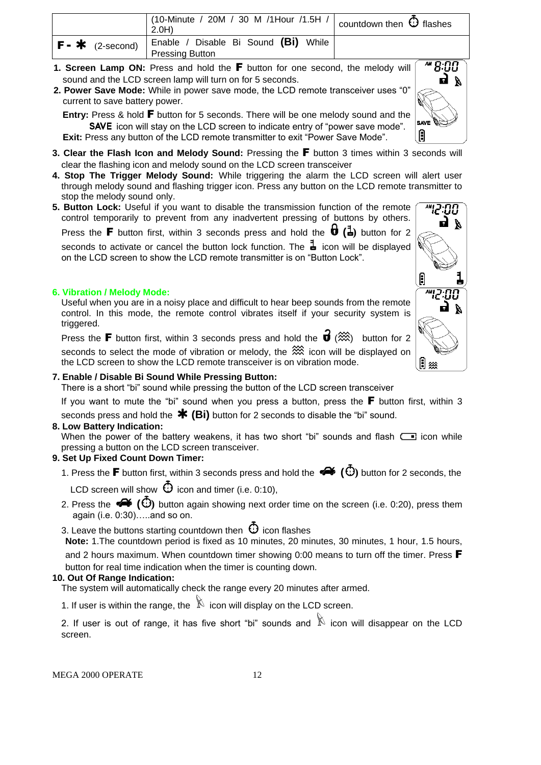|                        | $\frac{1}{10}$ (10-Minute / 20M / 30 M /1Hour /1.5H / countdown then $\Theta$ flashes<br>2.0H) |  |
|------------------------|------------------------------------------------------------------------------------------------|--|
| $F - \cdot$ (2-second) | ' Enable / Disable Bi Sound (Bi) While<br><b>Pressing Button</b>                               |  |

- **1. Screen Lamp ON:** Press and hold the F button for one second, the melody will sound and the LCD screen lamp will turn on for 5 seconds.
- **2. Power Save Mode:** While in power save mode, the LCD remote transceiver uses "0" current to save battery power.

**Entry:** Press & hold **F** button for 5 seconds. There will be one melody sound and the SAVE icon will stay on the LCD screen to indicate entry of "power save mode". **Exit:** Press any button of the LCD remote transmitter to exit "Power Save Mode".

- **3. Clear the Flash Icon and Melody Sound:** Pressing the F button 3 times within 3 seconds will clear the flashing icon and melody sound on the LCD screen transceiver
- **4. Stop The Trigger Melody Sound:** While triggering the alarm the LCD screen will alert user through melody sound and flashing trigger icon. Press any button on the LCD remote transmitter to stop the melody sound only.
- **5. Button Lock:** Useful if you want to disable the transmission function of the remote control temporarily to prevent from any inadvertent pressing of buttons by others.

Press the **F** button first, within 3 seconds press and hold the  $\mathbf{0}$   $(\mathbf{1})$  button for 2

seconds to activate or cancel the button lock function. The  $\frac{1}{2}$  icon will be displayed on the LCD screen to show the LCD remote transmitter is on "Button Lock".

#### **6. Vibration / Melody Mode:**

 Useful when you are in a noisy place and difficult to hear beep sounds from the remote control. In this mode, the remote control vibrates itself if your security system is triggered.

Press the **F** button first, within 3 seconds press and hold the  $\vec{\mathbf{u}}$  ( $\hat{\mathbf{w}}$ ) button for 2 seconds to select the mode of vibration or melody, the  $\frac{1}{2}$  icon will be displayed on the LCD screen to show the LCD remote transceiver is on vibration mode.

#### **7. Enable / Disable Bi Sound While Pressing Button:**

There is a short "bi" sound while pressing the button of the LCD screen transceiver

If you want to mute the "bi" sound when you press a button, press the  $\mathbf F$  button first, within 3

seconds press and hold the **\*** (Bi) button for 2 seconds to disable the "bi" sound.

#### **8. Low Battery Indication:**

When the power of the battery weakens, it has two short "bi" sounds and flash  $\Box$  icon while pressing a button on the LCD screen transceiver.

#### **9. Set Up Fixed Count Down Timer:**

1. Press the **F** button first, within 3 seconds press and hold the  $\clubsuit$  ( $\ddot{\odot}$ ) button for 2 seconds, the

LCD screen will show  $\Theta$  icon and timer (i.e. 0:10),

2. Press the  $\clubsuit$   $\bullet$   $\bullet$   $\bullet$   $\bullet$   $\bullet$  button again showing next order time on the screen (i.e. 0:20), press them again (i.e. 0:30)…..and so on.

3. Leave the buttons starting countdown then  $\, \mathbb{O} \,$  icon flashes

**Note:** 1.The countdown period is fixed as 10 minutes, 20 minutes, 30 minutes, 1 hour, 1.5 hours,

and 2 hours maximum. When countdown timer showing 0:00 means to turn off the timer. Press  $\blacksquare$ button for real time indication when the timer is counting down.

#### **10. Out Of Range Indication:**

The system will automatically check the range every 20 minutes after armed.

1. If user is within the range, the  $\mathbb N$  icon will display on the LCD screen.

2. If user is out of range, it has five short "bi" sounds and  $\mathbb N$  icon will disappear on the LCD screen.

MEGA 2000 OPERATE 12

f

∐ ⋙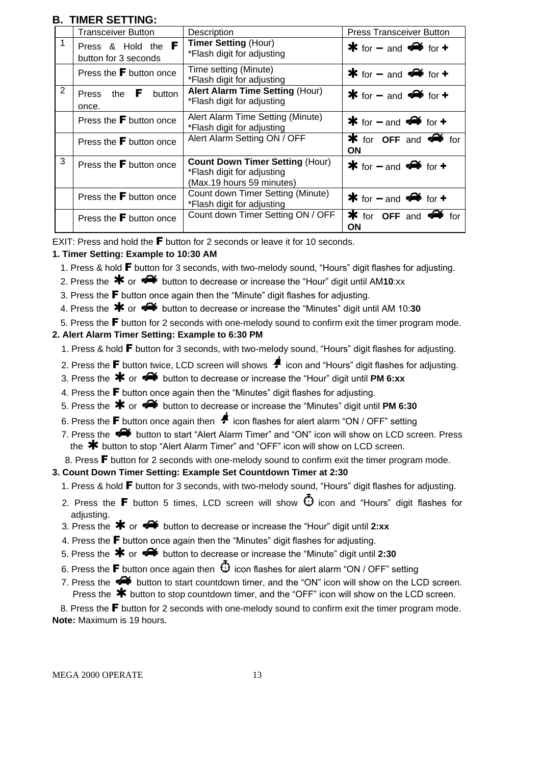## **B. TIMER SETTING:**

|                | Transceiver Button                         | Description                                                                                       | <b>Press Transceiver Button</b>     |
|----------------|--------------------------------------------|---------------------------------------------------------------------------------------------------|-------------------------------------|
|                | Press & Hold the F<br>button for 3 seconds | <b>Timer Setting (Hour)</b><br>*Flash digit for adjusting                                         | * for $-$ and $\rightarrow$ for $+$ |
|                | Press the $\mathbf F$ button once          | Time setting (Minute)<br>*Flash digit for adjusting                                               | $*$ for $-$ and $*$ for $*$         |
| $\overline{2}$ | Press the $\mathbf F$ button<br>once.      | <b>Alert Alarm Time Setting (Hour)</b><br>*Flash digit for adjusting                              | $*$ for $-$ and $*$ for $*$         |
|                | Press the <b>F</b> button once             | Alert Alarm Time Setting (Minute)<br>*Flash digit for adjusting                                   | $*$ for $-$ and $*$ for $*$         |
|                | Press the $F$ button once                  | Alert Alarm Setting ON / OFF                                                                      | $*$ for OFF and $*$ for<br>ON       |
| 3              | Press the <b>F</b> button once             | <b>Count Down Timer Setting (Hour)</b><br>*Flash digit for adjusting<br>(Max.19 hours 59 minutes) | $*$ for $-$ and $*$ for $*$         |
|                | Press the $F$ button once                  | Count down Timer Setting (Minute)<br>*Flash digit for adjusting                                   | $*$ for $-$ and $*$ for $*$         |
|                | Press the $F$ button once                  | Count down Timer Setting ON / OFF                                                                 | $*$ for OFF and $*$ for<br>ΟN       |

EXIT: Press and hold the  $\blacksquare$  button for 2 seconds or leave it for 10 seconds.

## **1. Timer Setting: Example to 10:30 AM**

- 1. Press & hold **F** button for 3 seconds, with two-melody sound, "Hours" digit flashes for adjusting.
- 2. Press the  $*$  or  $\clubsuit$  button to decrease or increase the "Hour" digit until AM10:xx
- 3. Press the F button once again then the "Minute" digit flashes for adjusting.
- 4. Press the  $\ast$  or  $\bullet$  button to decrease or increase the "Minutes" digit until AM 10:30

5. Press the **F** button for 2 seconds with one-melody sound to confirm exit the timer program mode.

## **2. Alert Alarm Timer Setting: Example to 6:30 PM**

- 1. Press & hold **F** button for 3 seconds, with two-melody sound, "Hours" digit flashes for adjusting.
- 2. Press the **F** button twice, LCD screen will shows  $\triangleq$  icon and "Hours" digit flashes for adjusting.
- 3. Press the  $*$  or  $*$  button to decrease or increase the "Hour" digit until **PM 6:xx**
- 4. Press the  $\blacksquare$  button once again then the "Minutes" digit flashes for adjusting.
- 5. Press the  $*$  or  $*$  button to decrease or increase the "Minutes" digit until PM 6:30
- 6. Press the **F** button once again then  $\neq$  icon flashes for alert alarm "ON / OFF" setting
- 7. Press the  $\blacktriangleleft$  button to start "Alert Alarm Timer" and "ON" icon will show on LCD screen. Press the  $*$  button to stop "Alert Alarm Timer" and "OFF" icon will show on LCD screen.
- 8. Press **F** button for 2 seconds with one-melody sound to confirm exit the timer program mode.

## **3. Count Down Timer Setting: Example Set Countdown Timer at 2:30**

- 1. Press & hold F button for 3 seconds, with two-melody sound, "Hours" digit flashes for adjusting.
- 2. Press the **F** button 5 times, LCD screen will show  $\Phi$  icon and "Hours" digit flashes for adiusting.
- 3. Press the  $*$  or  $*$  button to decrease or increase the "Hour" digit until 2:xx
- 4. Press the  $\blacktriangleright$  button once again then the "Minutes" digit flashes for adjusting.
- 5. Press the  $*$  or  $\ll$  button to decrease or increase the "Minute" digit until 2:30
- 6. Press the **F** button once again then  $\Phi$  icon flashes for alert alarm "ON / OFF" setting
- 7. Press the  $\clubsuit\bullet$  button to start countdown timer, and the "ON" icon will show on the LCD screen. Press the  $*$  button to stop countdown timer, and the "OFF" icon will show on the LCD screen.

8. Press the **F** button for 2 seconds with one-melody sound to confirm exit the timer program mode. **Note:** Maximum is 19 hours.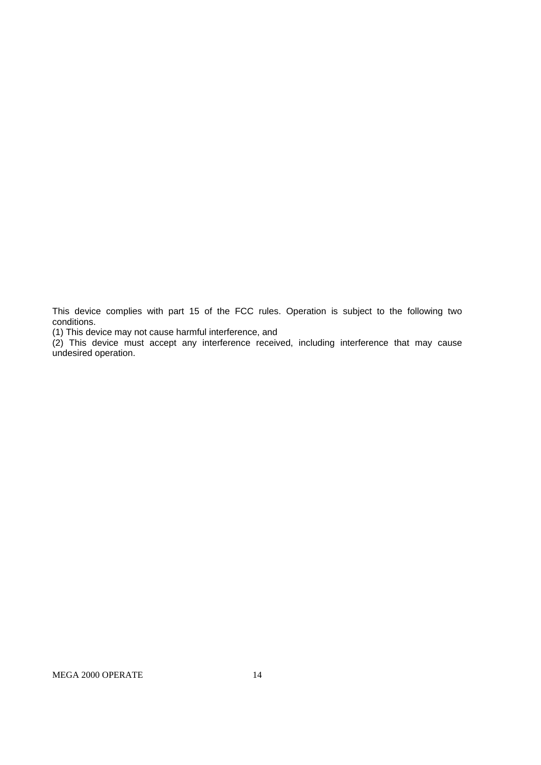This device complies with part 15 of the FCC rules. Operation is subject to the following two conditions.

(1) This device may not cause harmful interference, and

(2) This device must accept any interference received, including interference that may cause undesired operation.